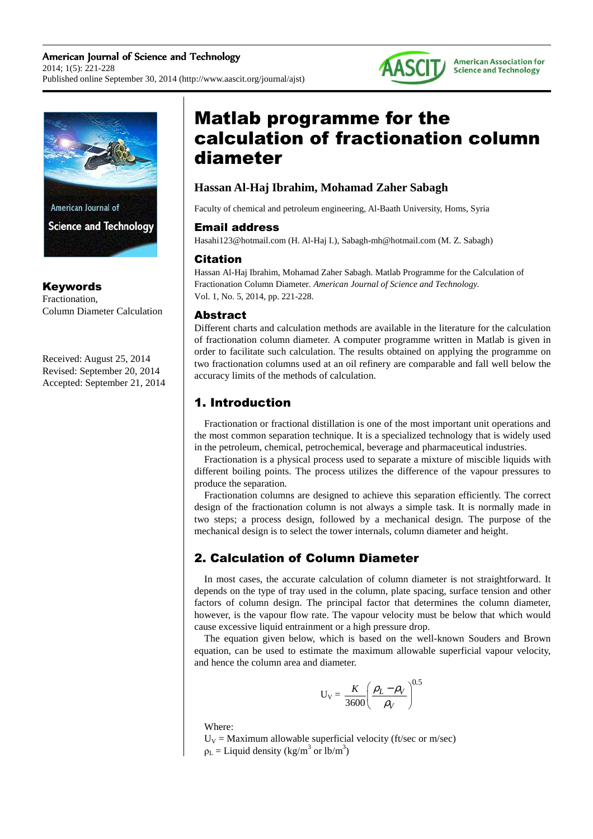



Keywords Fractionation,

Column Diameter Calculation

Received: August 25, 2014 Revised: September 20, 2014 Accepted: September 21, 2014

# Matlab programme for the calculation of fractionation column diameter

### **Hassan Al-Haj Ibrahim, Mohamad Zaher Sabagh**

Faculty of chemical and petroleum engineering, Al-Baath University, Homs, Syria

#### Email address

Hasahi123@hotmail.com (H. Al-Haj I.), Sabagh-mh@hotmail.com (M. Z. Sabagh)

#### Citation

Hassan Al-Haj Ibrahim, Mohamad Zaher Sabagh. Matlab Programme for the Calculation of Fractionation Column Diameter. *American Journal of Science and Technology.* Vol. 1, No. 5, 2014, pp. 221-228.

#### Abstract

Different charts and calculation methods are available in the literature for the calculation of fractionation column diameter. A computer programme written in Matlab is given in order to facilitate such calculation. The results obtained on applying the programme on two fractionation columns used at an oil refinery are comparable and fall well below the accuracy limits of the methods of calculation.

# 1. Introduction

Fractionation or fractional distillation is one of the most important unit operations and the most common separation technique. It is a specialized technology that is widely used in the petroleum, chemical, petrochemical, beverage and pharmaceutical industries.

Fractionation is a physical process used to separate a mixture of miscible liquids with different boiling points. The process utilizes the difference of the vapour pressures to produce the separation.

Fractionation columns are designed to achieve this separation efficiently. The correct design of the fractionation column is not always a simple task. It is normally made in two steps; a process design, followed by a mechanical design. The purpose of the mechanical design is to select the tower internals, column diameter and height.

# 2. Calculation of Column Diameter

In most cases, the accurate calculation of column diameter is not straightforward. It depends on the type of tray used in the column, plate spacing, surface tension and other factors of column design. The principal factor that determines the column diameter, however, is the vapour flow rate. The vapour velocity must be below that which would cause excessive liquid entrainment or a high pressure drop.

The equation given below, which is based on the well-known Souders and Brown equation, can be used to estimate the maximum allowable superficial vapour velocity, and hence the column area and diameter.

$$
U_V = \frac{K}{3600} \left(\frac{\rho_L - \rho_V}{\rho_V}\right)^{0.5}
$$

Where:

 $U_V$  = Maximum allowable superficial velocity (ft/sec or m/sec)  $\rho_L$  = Liquid density (kg/m<sup>3</sup> or lb/m<sup>3</sup>)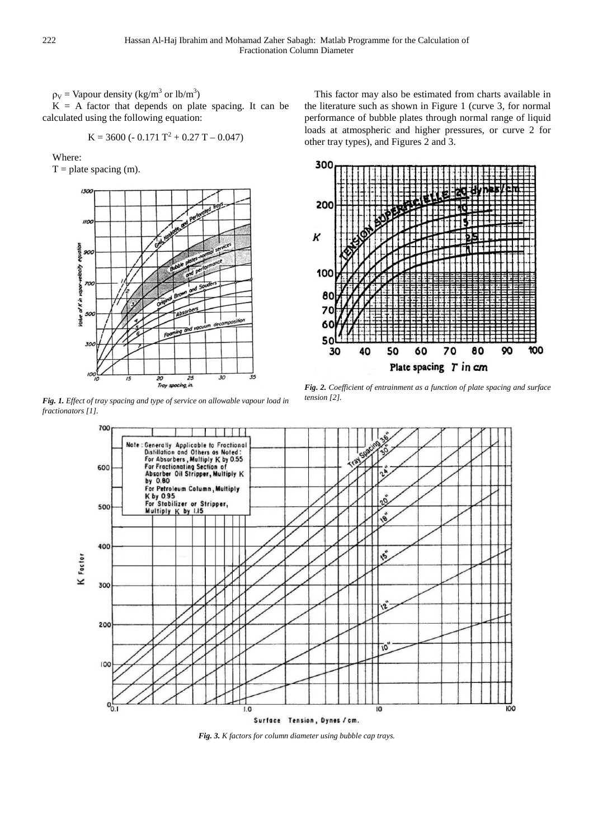$\rho_V$  = Vapour density (kg/m<sup>3</sup> or lb/m<sup>3</sup>)

 $K = A$  factor that depends on plate spacing. It can be calculated using the following equation:

$$
K = 3600 (-0.171 T2 + 0.27 T - 0.047)
$$

Where:

 $T =$  plate spacing (m).



*Fig. 1. Effect of tray spacing and type of service on allowable vapour load in fractionators [1].* 

This factor may also be estimated from charts available in the literature such as shown in Figure 1 (curve 3, for normal performance of bubble plates through normal range of liquid loads at atmospheric and higher pressures, or curve 2 for other tray types), and Figures 2 and 3.



*Fig. 2. Coefficient of entrainment as a function of plate spacing and surface tension [2].* 



*Fig. 3. K factors for column diameter using bubble cap trays.*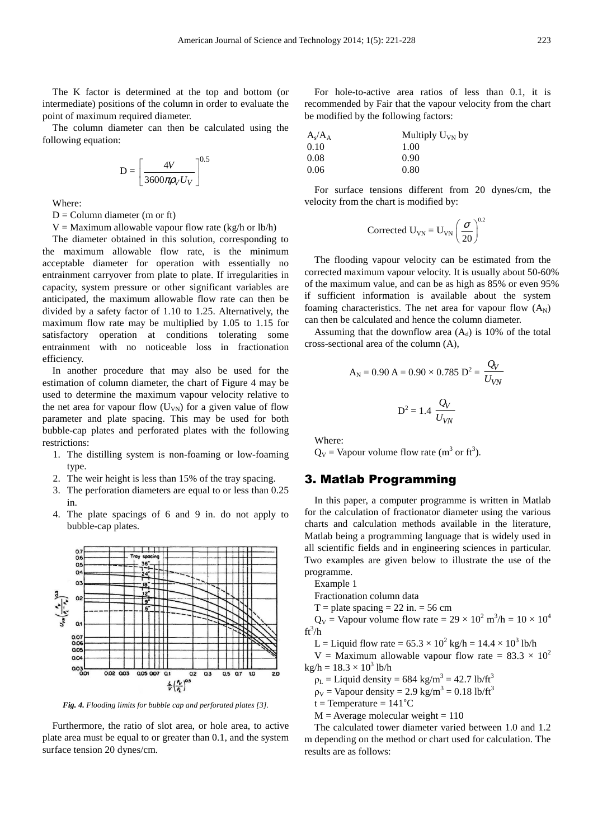The K factor is determined at the top and bottom (or intermediate) positions of the column in order to evaluate the point of maximum required diameter.

The column diameter can then be calculated using the following equation:

$$
D = \left[\frac{4V}{3600\pi\rho_V U_V}\right]^{0.5}
$$

Where:

 $D =$  Column diameter (m or ft)

 $V =$  Maximum allowable vapour flow rate (kg/h or lb/h)

The diameter obtained in this solution, corresponding to the maximum allowable flow rate, is the minimum acceptable diameter for operation with essentially no entrainment carryover from plate to plate. If irregularities in capacity, system pressure or other significant variables are anticipated, the maximum allowable flow rate can then be divided by a safety factor of 1.10 to 1.25. Alternatively, the maximum flow rate may be multiplied by 1.05 to 1.15 for satisfactory operation at conditions tolerating some entrainment with no noticeable loss in fractionation efficiency.

In another procedure that may also be used for the estimation of column diameter, the chart of Figure 4 may be used to determine the maximum vapour velocity relative to the net area for vapour flow  $(U_{VN})$  for a given value of flow parameter and plate spacing. This may be used for both bubble-cap plates and perforated plates with the following restrictions:

- 1. The distilling system is non-foaming or low-foaming type.
- 2. The weir height is less than 15% of the tray spacing.
- 3. The perforation diameters are equal to or less than 0.25 in.
- 4. The plate spacings of 6 and 9 in. do not apply to bubble-cap plates.



*Fig. 4. Flooding limits for bubble cap and perforated plates [3].* 

Furthermore, the ratio of slot area, or hole area, to active plate area must be equal to or greater than 0.1, and the system surface tension 20 dynes/cm.

For hole-to-active area ratios of less than 0.1, it is recommended by Fair that the vapour velocity from the chart be modified by the following factors:

| $\rm A_s/A_A$ | Multiply $U_{VN}$ by |
|---------------|----------------------|
| 0.10          | 1.00                 |
| $0.08\,$      | 0.90                 |
| 0.06          | 0.80                 |

For surface tensions different from 20 dynes/cm, the velocity from the chart is modified by:

Corrected 
$$
U_{VN} = U_{VN} \left(\frac{\sigma}{20}\right)^{0.2}
$$

The flooding vapour velocity can be estimated from the corrected maximum vapour velocity. It is usually about 50-60% of the maximum value, and can be as high as 85% or even 95% if sufficient information is available about the system foaming characteristics. The net area for vapour flow  $(A<sub>N</sub>)$ can then be calculated and hence the column diameter.

Assuming that the downflow area  $(A_d)$  is 10% of the total cross-sectional area of the column (A),

$$
A_N = 0.90 \text{ A} = 0.90 \times 0.785 \text{ D}^2 = \frac{Q_V}{U_{VN}}
$$
  

$$
\text{D}^2 = 1.4 \frac{Q_V}{U_{VN}}
$$

Where:

 $Q_V$  = Vapour volume flow rate (m<sup>3</sup> or ft<sup>3</sup>).

#### 3. Matlab Programming

In this paper, a computer programme is written in Matlab for the calculation of fractionator diameter using the various charts and calculation methods available in the literature, Matlab being a programming language that is widely used in all scientific fields and in engineering sciences in particular. Two examples are given below to illustrate the use of the programme.

Example 1

Fractionation column data

 $T =$  plate spacing  $= 22$  in.  $= 56$  cm

 $Q_V$  = Vapour volume flow rate = 29  $\times$  10<sup>2</sup> m<sup>3</sup>/h = 10  $\times$  10<sup>4</sup>  $ft^3/h$ 

L = Liquid flow rate =  $65.3 \times 10^2$  kg/h =  $14.4 \times 10^3$  lb/h

V = Maximum allowable vapour flow rate =  $83.3 \times 10^2$  $\text{kg/h} = 18.3 \times 10^3 \text{ lb/h}$ 

 $\rho_L$  = Liquid density = 684 kg/m<sup>3</sup> = 42.7 lb/ft<sup>3</sup>

 $\rho_V$  = Vapour density = 2.9 kg/m<sup>3</sup> = 0.18 lb/ft<sup>3</sup>

 $t = Temperature = 141^{\circ}C$ 

 $M =$  Average molecular weight = 110

The calculated tower diameter varied between 1.0 and 1.2 m depending on the method or chart used for calculation. The results are as follows: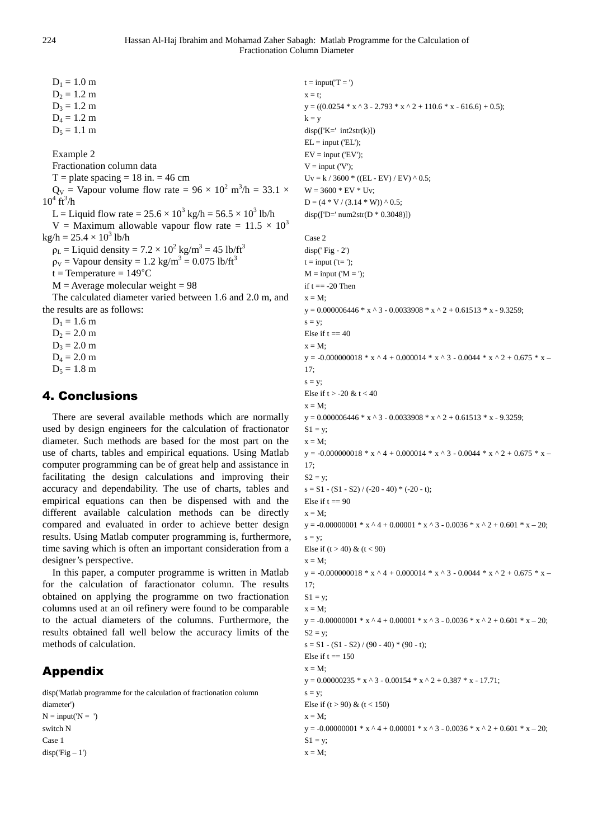224 Hassan Al-Haj Ibrahim and Mohamad Zaher Sabagh: Matlab Programme for the Calculation of Fractionation Column Diameter

 $D_1 = 1.0$  m  $D_2 = 1.2$  m  $D_3 = 1.2$  m  $D_4 = 1.2$  m  $D_5 = 1.1$  m Example 2 Fractionation column data  $T =$  plate spacing  $= 18$  in.  $= 46$  cm  $Q_V$  = Vapour volume flow rate = 96 × 10<sup>2</sup> m<sup>3</sup>/h = 33.1 ×  $10^4 \text{ ft}^3/\text{h}$ L = Liquid flow rate =  $25.6 \times 10^3$  kg/h =  $56.5 \times 10^3$  lb/h V = Maximum allowable vapour flow rate =  $11.5 \times 10^3$  $\text{kg/h} = 25.4 \times 10^3 \text{ lb/h}$  $\rho_L$  = Liquid density = 7.2 × 10<sup>2</sup> kg/m<sup>3</sup> = 45 lb/ft<sup>3</sup>  $\rho_V$  = Vapour density = 1.2 kg/m<sup>3</sup> = 0.075 lb/ft<sup>3</sup>  $t = Temperature = 149^{\circ}C$  $M =$  Average molecular weight = 98 The calculated diameter varied between 1.6 and 2.0 m, and the results are as follows:  $D_1 = 1.6$  m  $D_2 = 2.0$  m  $D_3 = 2.0$  m  $D_4 = 2.0$  m

# $D_5 = 1.8$  m

#### 4. Conclusions

There are several available methods which are normally used by design engineers for the calculation of fractionator diameter. Such methods are based for the most part on the use of charts, tables and empirical equations. Using Matlab computer programming can be of great help and assistance in facilitating the design calculations and improving their accuracy and dependability. The use of charts, tables and empirical equations can then be dispensed with and the different available calculation methods can be directly compared and evaluated in order to achieve better design results. Using Matlab computer programming is, furthermore, time saving which is often an important consideration from a designer's perspective.

In this paper, a computer programme is written in Matlab for the calculation of faractionator column. The results obtained on applying the programme on two fractionation columns used at an oil refinery were found to be comparable to the actual diameters of the columns. Furthermore, the results obtained fall well below the accuracy limits of the methods of calculation.

## Appendix

disp('Matlab programme for the calculation of fractionation column diameter')

```
N = input('N = ')switch N 
Case 1 
disp('Fig - 1')
```

```
t = input(T = ')x = t;
y = ((0.0254 * x * 3 - 2.793 * x * 2 + 110.6 * x - 616.6) + 0.5);k = vdisp([K=' int2str(k)])EL = input ('EL');
EV = input ('EV'):
V = input (V');Uv = k / 3600 * ((EL - EV) / EV) ^ 0.5;W = 3600 * EV * Uv;D = (4 * V / (3.14 * W)) \wedge 0.5;disp(I'D=' num2str(D * 0.3048))Case 2 
disp(' Fig - 2')
```

```
t = input ('t =');
M = input ('M = ');if t = -20 Then
x = M;
y = 0.000006446 * x \cdot 3 - 0.0033908 * x \cdot 2 + 0.61513 * x - 9.3259;s = y;Else if t = 40x = M;
y = -0.000000018 * x \cdot 4 + 0.000014 * x \cdot 3 - 0.0044 * x \cdot 2 + 0.675 * x -17:s = y;Else if t > -20 & t < 40x = M:
y = 0.000006446 * x \cdot 3 - 0.0033908 * x \cdot 2 + 0.61513 * x - 9.3259;S1 = y;x = M;
y = -0.000000018 * x \cdot 4 + 0.000014 * x \cdot 3 - 0.0044 * x \cdot 2 + 0.675 * x -17; 
S2 = y;
s = S1 - (S1 - S2) / (-20 - 40) * (-20 - t);Else if t = 90x = M;
y = -0.00000001 * x * 4 + 0.00001 * x * 3 - 0.0036 * x * 2 + 0.601 * x - 20;s = v:
Else if (t > 40) & (t < 90)x = M;
y = -0.000000018 * x ^ 4 + 0.000014 * x ^ 3 - 0.0044 * x ^ 2 + 0.675 * x –
17; 
S1 = v:
x = M:
y = -0.00000001 * x^4 + 0.00001 * x^3 - 0.0036 * x^2 + 0.601 * x - 20;S2 = y;s = S1 - (S1 - S2) / (90 - 40) * (90 - t);Else if t = 150x = M:
y = 0.00000235 * x ^ 3 - 0.00154 * x ^ 2 + 0.387 * x - 17.71;
s = y;
Else if (t > 90) & (t < 150)x = M:
y = -0.00000001 * x * 4 + 0.00001 * x * 3 - 0.0036 * x * 2 + 0.601 * x - 20;S1 = v:
x = M;
```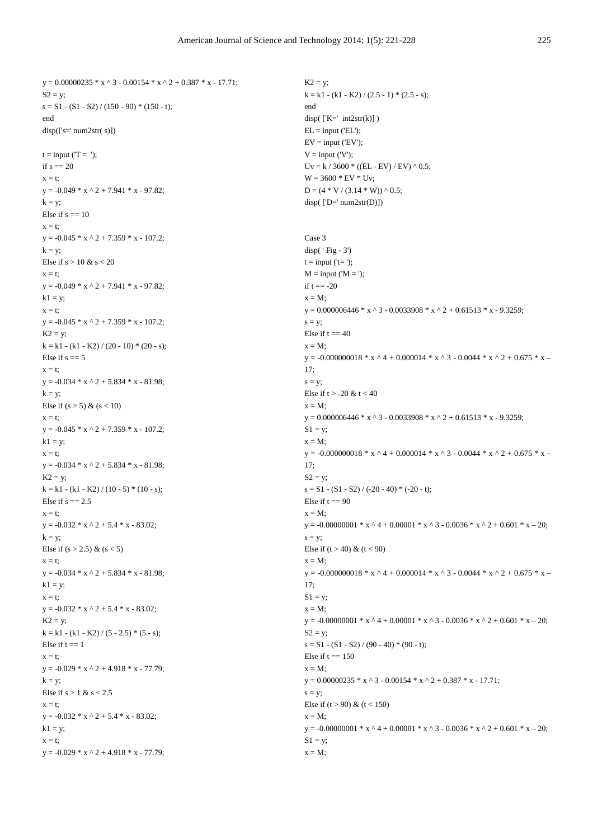```
y = 0.00000235 * x \cdot 3 - 0.00154 * x \cdot 2 + 0.387 * x - 17.71;
S2 = y;
s = S1 - (S1 - S2) / (150 - 90) * (150 - t);end 
disp([s='num2str(s)])t = input(T = '):if s = 20x = t;
y = -0.049 * x * 2 + 7.941 * x - 97.82;k = v;
Else if s == 10x = t:
y = -0.045 * x^2 + 7.359 * x - 107.2;
k = y;Else if s > 10 & s < 20x = t;
y = -0.049 * x \cdot 2 + 7.941 * x - 97.82;k1 = y;x = t:
y = -0.045 * x \cdot 2 + 7.359 * x - 107.2;K2 = y;
k = k1 - (k1 - K2) / (20 - 10) * (20 - s);Else if s == 5x = ty = -0.034 * x * 2 + 5.834 * x - 81.98;k = v:
Else if (s > 5) & (s < 10)x = t:
y = -0.045 * x * 2 + 7.359 * x - 107.2;k1 = y;x = t:
y = -0.034 * x * 2 + 5.834 * x - 81.98;K2 = y;
k = k1 - (k1 - K2) / (10 - 5) * (10 - s);Else if s = 2.5x = t:
y = -0.032 * x * 2 + 5.4 * x - 83.02;k = y;
Else if (s > 2.5) & (s < 5)x = t;
y = -0.034 * x * 2 + 5.834 * x - 81.98;k1 = y;x = t:
y = -0.032 * x * 2 + 5.4 * x - 83.02;K2 = y;
k = k1 - (k1 - K2) / (5 - 2.5) * (5 - s);Else if t = 1x = t:
y = -0.029 * x * 2 + 4.918 * x - 77.79;k = y;Else if s > 1 & s < 2.5x = t;
y = -0.032 * x \cdot 2 + 5.4 * x - 83.02;k1 = y;x = t;
y = -0.029 * x * 2 + 4.918 * x - 77.79;
```
 $K2 = y$ ;  $k = k1 - (k1 - K2) / (2.5 - 1) * (2.5 - s);$ end  $disp(FK=' int2str(k))$  $EL = input$  ('EL');  $EV = input ('EV');$  $V = input ('V')$ :  $Uv = k / 3600 * ((EL - EV) / EV) ^ 0.5;$  $W = 3600 * EV * Uv;$  $D = (4 * V / (3.14 * W)) \wedge 0.5;$  $disp(['D='num2str(D)])$ Case 3 disp( ' Fig - 3')  $t = input$  (' $t =$ ');  $M = input ('M = ');$ if  $t = -20$  $x = M$ :  $y = 0.000006446 * x \cdot 3 - 0.0033908 * x \cdot 2 + 0.61513 * x - 9.3259;$  $s = v$ : Else if  $t = 40$  $x = M$ ; y = -0.000000018 \* x ^ 4 + 0.000014 \* x ^ 3 - 0.0044 \* x ^ 2 + 0.675 \* x –  $17:$  $s = y;$ Else if  $t > -20$  &  $t < 40$  $x = M$ :  $y = 0.000006446 * x \cdot 3 - 0.0033908 * x \cdot 2 + 0.61513 * x - 9.3259;$  $S1 = y;$  $x = M$ ; y = -0.000000018 \* x ^ 4 + 0.000014 \* x ^ 3 - 0.0044 \* x ^ 2 + 0.675 \* x – 17;  $S2 = y$ ;  $s = S1 - (S1 - S2) / (-20 - 40) * (-20 - t);$ Else if  $t = 90$  $x = M$ : y = -0.00000001 \* x ^ 4 + 0.00001 \* x ^ 3 - 0.0036 \* x ^ 2 + 0.601 \* x – 20;  $s = v$ : Else if  $(t > 40)$  &  $(t < 90)$  $x = M$ ; y = -0.000000018 \* x ^ 4 + 0.000014 \* x ^ 3 - 0.0044 \* x ^ 2 + 0.675 \* x – 17;  $S1 = y$ ;  $x = M$ ;  $y = -0.00000001 * x \cdot 4 + 0.00001 * x \cdot 3 - 0.0036 * x \cdot 2 + 0.601 * x - 20;$  $S2 = y$ ;  $s = S1 - (S1 - S2) / (90 - 40) * (90 - t);$ Else if  $t = 150$  $x = M$ :  $y = 0.00000235 * x * 3 - 0.00154 * x * 2 + 0.387 * x - 17.71;$  $s = y;$ Else if  $(t > 90)$  &  $(t < 150)$  $x = M$ :  $y = -0.00000001 * x^4 + 0.00001 * x^3 - 0.0036 * x^2 + 0.601 * x - 20;$  $S1 = y$ ;  $x = M$ ;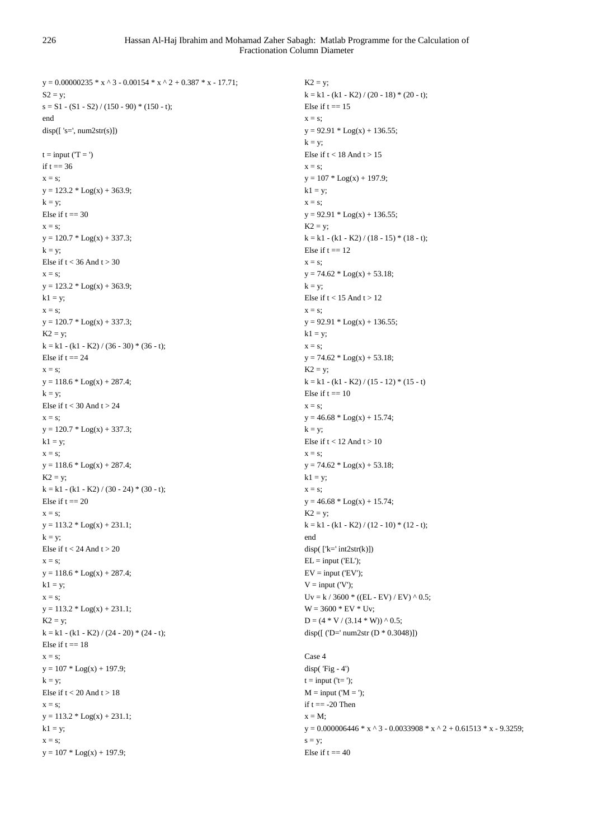$y = 0.00000235 * x \cdot 3 - 0.00154 * x \cdot 2 + 0.387 * x - 17.71$ ;  $S2 = y$ ;  $s = S1 - (S1 - S2) / (150 - 90) * (150 - t);$ end  $disp([ 's=', num2str(s)])$  $t = input (T = ')$ if  $t = 36$  $x = s$ ;  $y = 123.2 * Log(x) + 363.9;$  $k = y$ ; Else if  $t = 30$  $x = s$ ;  $y = 120.7 * Log(x) + 337.3;$  $k = y;$ Else if  $t < 36$  And  $t > 30$  $x = s$ ;  $y = 123.2 * Log(x) + 363.9;$  $k1 = y;$  $x = s$ ;  $y = 120.7 * Log(x) + 337.3;$  $K2 = y$ ;  $k = k1 - (k1 - K2) / (36 - 30) * (36 - t);$ Else if  $t = 24$  $x = s$ ;  $y = 118.6 * Log(x) + 287.4;$  $k = y;$ Else if  $t < 30$  And  $t > 24$  $x = s$ ;  $y = 120.7 * Log(x) + 337.3;$  $k1 = y;$  $x = s$ ;  $y = 118.6 * Log(x) + 287.4;$  $K2 = y$ ;  $k = k1 - (k1 - K2) / (30 - 24) * (30 - t);$ Else if  $t = 20$  $x = s$ ;  $y = 113.2 * Log(x) + 231.1;$  $k = y$ ; Else if  $t < 24$  And  $t > 20$  $x = s$ ;  $y = 118.6 * Log(x) + 287.4;$  $k1 = y;$  $x = s$ :  $y = 113.2 * Log(x) + 231.1;$  $K2 = y$ ;  $k = k1 - (k1 - K2) / (24 - 20) * (24 - t);$ Else if  $t = 18$  $x = s$ :  $y = 107 * Log(x) + 197.9;$  $k = y;$ Else if  $t < 20$  And  $t > 18$  $x = s$ ;  $y = 113.2 * Log(x) + 231.1;$  $k1 = y;$  $x = s$ :  $y = 107 * Log(x) + 197.9;$ 

 $K2 = y$ ;  $k = k1 - (k1 - K2) / (20 - 18) * (20 - t);$ Else if  $t = 15$  $\mathbf{x} - \mathbf{e}$  $y = 92.91 * Log(x) + 136.55;$  $k = y;$ Else if  $t < 18$  And  $t > 15$  $x = s$ ;  $y = 107 * Log(x) + 197.9;$  $k1 = y;$  $x = s$ ;  $y = 92.91 * Log(x) + 136.55;$  $K2 = v$ ;  $k = k1 - (k1 - K2) / (18 - 15) * (18 - t);$ Else if  $t = 12$  $x = s$ :  $y = 74.62 * Log(x) + 53.18;$  $k = y;$ Else if  $t < 15$  And  $t > 12$  $x = s$ ;  $y = 92.91 * Log(x) + 136.55;$  $k1 = y;$  $x = s$ ;  $y = 74.62 * Log(x) + 53.18;$  $K2 = y$ ;  $k = k1 - (k1 - K2) / (15 - 12) * (15 - t)$ Else if  $t = 10$  $x = s$ ;  $y = 46.68 * Log(x) + 15.74;$  $k = y;$ Else if  $t < 12$  And  $t > 10$  $x = s$ :  $y = 74.62 * Log(x) + 53.18;$  $k1 = y;$  $x = s$ ;  $y = 46.68 * Log(x) + 15.74;$  $K2 = y$ ;  $k = k1 - (k1 - K2) / (12 - 10) * (12 - t);$ end disp $([k='int2str(k)])$  $EL = input$  ('EL');  $EV = input ('EV');$  $V = input (V');$ Uv = k / 3600  $*(EL - EV) / EV)$  ^ 0.5;  $W = 3600 * EV * Uv;$  $D = (4 * V / (3.14 * W)) \wedge 0.5;$ disp([ ('D=' num2str (D \* 0.3048)]) Case 4

disp( $'Fig - 4'$ )  $t = input$  (' $t =$ ');  $M = input ('M = ');$ if  $t = -20$  Then  $x = M$ :  $y = 0.000006446 * x \cdot 3 - 0.0033908 * x \cdot 2 + 0.61513 * x - 9.3259;$  $s = y;$ Else if  $t = 40$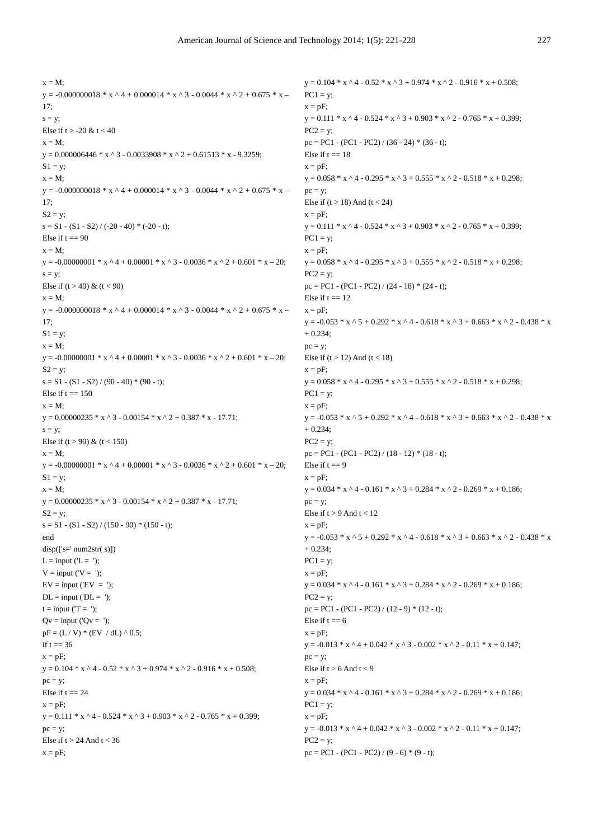```
x = M:
y = -0.000000018 * x ^ 4 + 0.000014 * x ^ 3 - 0.0044 * x ^ 2 + 0.675 * x –
17<sup>5</sup>s = v:
Else if t > -20 & t < 40x = M:
y = 0.000006446 * x \cdot 3 - 0.0033908 * x \cdot 2 + 0.61513 * x - 9.3259;
S1 = y;
x = M:
y = -0.000000018 * x ^ 4 + 0.000014 * x ^ 3 - 0.0044 * x ^ 2 + 0.675 * x –
17; 
S2 = y;
s = S1 - (S1 - S2) / (-20 - 40) * (-20 - t);Else if t = 90x = M:
y = -0.00000001 * x * 4 + 0.00001 * x * 3 - 0.0036 * x * 2 + 0.601 * x - 20;s = y;
Else if (t > 40) & (t < 90)x = M;
y = -0.000000018 * x ^ 4 + 0.000014 * x ^ 3 - 0.0044 * x ^ 2 + 0.675 * x –
17; 
S1 = y;
x = M;
y = -0.00000001 * x^4 + 0.00001 * x^3 - 0.0036 * x^2 + 0.601 * x - 20;S2 = y;
s = S1 - (S1 - S2) / (90 - 40) * (90 - t);Else if t = 150x = M;
y = 0.00000235 * x \cdot 3 - 0.00154 * x \cdot 2 + 0.387 * x - 17.71;
s = y;Else if (t > 90) & (t < 150)x = M:
y = -0.00000001 * x \cdot 4 + 0.00001 * x \cdot 3 - 0.0036 * x \cdot 2 + 0.601 * x - 20;S1 = y;
x = M;
y = 0.00000235 * x * 3 - 0.00154 * x * 2 + 0.387 * x - 17.71;S2 = y;s = S1 - (S1 - S2) / (150 - 90) * (150 - t);end 
disp(['s=' num2str( s)])
L = input ('L = ');V = input (V = ');EV = input (EV = ');DL = input ('DL = ');t = input (T = ');Qv = input (Qv = ');pF = (L / V) * (EV / dL) \wedge 0.5;if t = 36x = pF;
y = 0.104 * x \cdot 4 - 0.52 * x \cdot 3 + 0.974 * x \cdot 2 - 0.916 * x + 0.508;pc = y;
Else if t = 24x = pF;
y = 0.111 * x \cdot 4 - 0.524 * x \cdot 3 + 0.903 * x \cdot 2 - 0.765 * x + 0.399;pc = v;
Else if t > 24 And t < 36x = pF;
                                                                                      y = 0.104 * x \cdot 4 - 0.52 * x \cdot 3 + 0.974 * x \cdot 2 - 0.916 * x + 0.508;PC1 = y;
                                                                                      x = pF:
                                                                                      y = 0.111 * x \cdot 4 - 0.524 * x \cdot 3 + 0.903 * x \cdot 2 - 0.765 * x + 0.399;
                                                                                      PC2 = vpc = PC1 - (PC1 - PC2) / (36 - 24) * (36 - t);Else if t = 18x = pF;
                                                                                      y = 0.058 * x \cdot 4 - 0.295 * x \cdot 3 + 0.555 * x \cdot 2 - 0.518 * x + 0.298;pc = y;
                                                                                      Else if (t > 18) And (t < 24)x = pF:
                                                                                      y = 0.111 * x^2 + 4 - 0.524 * x^3 + 0.903 * x^3 + 2 - 0.765 * x + 0.399;
                                                                                      PC1 = v;
                                                                                      x = pF;y = 0.058 * x \cdot 4 - 0.295 * x \cdot 3 + 0.555 * x \cdot 2 - 0.518 * x + 0.298;PC2 = y;
                                                                                      pc = PC1 - (PC1 - PC2) / (24 - 18) * (24 - t);Else if t = 12x = pF;
                                                                                      y = -0.053 * x ^ 5 + 0.292 * x ^ 4 - 0.618 * x ^ 3 + 0.663 * x ^ 2 - 0.438 * x
                                                                                      + 0.234; 
                                                                                      pc = y;
                                                                                      Else if (t > 12) And (t < 18)x = pF;
                                                                                      y = 0.058 * x \cdot 4 - 0.295 * x \cdot 3 + 0.555 * x \cdot 2 - 0.518 * x + 0.298;PC1 = y;
                                                                                      x = pF;
                                                                                      y = -0.053 * x \cdot 5 + 0.292 * x \cdot 4 - 0.618 * x \cdot 3 + 0.663 * x \cdot 2 - 0.438 * x+ 0.234; 
                                                                                      PC2 = y;pc = PC1 - (PC1 - PC2) / (18 - 12) * (18 - t);Else if t = 9x = pF;
                                                                                      y = 0.034 * x \cdot 4 - 0.161 * x \cdot 3 + 0.284 * x \cdot 2 - 0.269 * x + 0.186;pc = y;Else if t > 9 And t < 12x = pF:
                                                                                      y = -0.053 * x * 5 + 0.292 * x * 4 - 0.618 * x * 3 + 0.663 * x * 2 - 0.438 * x+ 0.234; 
                                                                                      PC1 = y;
                                                                                      x = pF;
                                                                                      y = 0.034 * x \cdot 4 - 0.161 * x \cdot 3 + 0.284 * x \cdot 2 - 0.269 * x + 0.186;PC2 = y;pc = PC1 - (PC1 - PC2) / (12 - 9) * (12 - t); 
                                                                                      Else if t = 6x = pF;
                                                                                      y = -0.013 * x \cdot 4 + 0.042 * x \cdot 3 - 0.002 * x \cdot 2 - 0.11 * x + 0.147;
                                                                                      pc = y;
                                                                                      Else if t > 6 And t < 9x = pF;
                                                                                      y = 0.034 * x \cdot 4 - 0.161 * x \cdot 3 + 0.284 * x \cdot 2 - 0.269 * x + 0.186;PC1 = y;
                                                                                      x = pF;
                                                                                      y = -0.013 * x ^ 4 + 0.042 * x ^ 3 - 0.002 * x ^ 2 - 0.11 * x + 0.147;
                                                                                      PC2 = y;
                                                                                      pc = PC1 - (PC1 - PC2) / (9 - 6) * (9 - t);
```